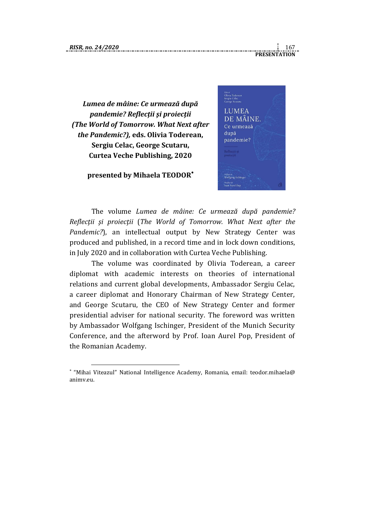1

**PRESENTATION**

*[Lumea de mâine: Ce urmează după](http://mail.dcti.ro/redir.hsp?url=https%3A%2F%2Fnewstrategycenter.us13.list-manage.com%2Ftrack%2Fclick%3Fu%3D2ef59da825640eca26b6f047a%26id%3D37f366e3e7%26e%3Dc404020f95)  [pandemie?](http://mail.dcti.ro/redir.hsp?url=https%3A%2F%2Fnewstrategycenter.us13.list-manage.com%2Ftrack%2Fclick%3Fu%3D2ef59da825640eca26b6f047a%26id%3D37f366e3e7%26e%3Dc404020f95) Reflecţii şi proiecţii (The World of Tomorrow. What Next after the Pandemic?),* **eds. Olivia Toderean, Sergiu Celac, George Scutaru, Curtea Veche Publishing, 2020**

## **presented by Mihaela TEODOR**



The volume *[Lumea de mâine: Ce urmează după pandemie?](http://mail.dcti.ro/redir.hsp?url=https%3A%2F%2Fnewstrategycenter.us13.list-manage.com%2Ftrack%2Fclick%3Fu%3D2ef59da825640eca26b6f047a%26id%3D37f366e3e7%26e%3Dc404020f95)  [Reflecţii şi proiecţ](http://mail.dcti.ro/redir.hsp?url=https%3A%2F%2Fnewstrategycenter.us13.list-manage.com%2Ftrack%2Fclick%3Fu%3D2ef59da825640eca26b6f047a%26id%3D37f366e3e7%26e%3Dc404020f95)ii* (*The World of Tomorrow. What Next after the Pandemic?*), an intellectual output by New Strategy Center was produced and published, in a record time and in lock down conditions, in July 2020 and in collaboration with Curtea Veche Publishing.

The volume was coordinated by Olivia Toderean, a career diplomat with academic interests on theories of international relations and current global developments, Ambassador Sergiu Celac, a career diplomat and Honorary Chairman of New Strategy Center, and George Scutaru, the CEO of New Strategy Center and former presidential adviser for national security. The foreword was written by Ambassador Wolfgang Ischinger, President of the Munich Security Conference, and the afterword by Prof. Ioan Aurel Pop, President of the Romanian Academy.

"Mihai Viteazul" National Intelligence Academy, Romania, email: teodor.mihaela@ animv.eu.